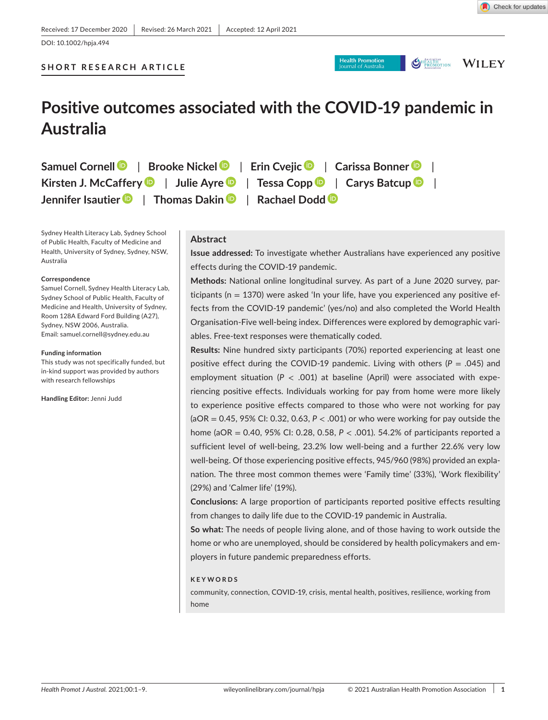```
OHERENTING WILEY
```
# **Positive outcomes associated with the COVID-19 pandemic in Australia**

**Samuel Cornel[l](https://orcid.org/0000-0003-4944-7826)** | **Brooke Nicke[l](http://orcid.org/0000-0002-8100-4278)** | **Erin Cveji[c](http://orcid.org/0000-0002-6043-6071)** | **Carissa Bonner** | **Kirsten J. McCaffery** | **Julie Ayr[e](http://orcid.org/0000-0002-5279-5189)** | **Tessa Copp** | **Carys Batcu[p](http://orcid.org/0000-0003-1896-533X)** | **Jennifer Isautier** | **Thomas Daki[n](http://orcid.org/0000-0003-4452-1863)** | **Rachael Dodd**

Sydney Health Literacy Lab, Sydney School of Public Health, Faculty of Medicine and Health, University of Sydney, Sydney, NSW, Australia

#### **Correspondence**

Samuel Cornell, Sydney Health Literacy Lab, Sydney School of Public Health, Faculty of Medicine and Health, University of Sydney, Room 128A Edward Ford Building (A27), Sydney, NSW 2006, Australia. Email: [samuel.cornell@sydney.edu.au](mailto:samuel.cornell@sydney.edu.au)

#### **Funding information**

This study was not specifically funded, but in-kind support was provided by authors with research fellowships

**Handling Editor:** Jenni Judd

### **Abstract**

**Issue addressed:** To investigate whether Australians have experienced any positive effects during the COVID-19 pandemic.

**Methods:** National online longitudinal survey. As part of a June 2020 survey, participants (n = 1370) were asked 'In your life, have you experienced any positive effects from the COVID-19 pandemic' (yes/no) and also completed the World Health Organisation-Five well-being index. Differences were explored by demographic variables. Free-text responses were thematically coded.

**Results:** Nine hundred sixty participants (70%) reported experiencing at least one positive effect during the COVID-19 pandemic. Living with others (*P* = .045) and employment situation (*P* < .001) at baseline (April) were associated with experiencing positive effects. Individuals working for pay from home were more likely to experience positive effects compared to those who were not working for pay (aOR = 0.45, 95% CI: 0.32, 0.63, *P* < .001) or who were working for pay outside the home (aOR = 0.40, 95% CI: 0.28, 0.58, *P* < .001). 54.2% of participants reported a sufficient level of well-being, 23.2% low well-being and a further 22.6% very low well-being. Of those experiencing positive effects, 945/960 (98%) provided an explanation. The three most common themes were 'Family time' (33%), 'Work flexibility' (29%) and 'Calmer life' (19%).

**Conclusions:** A large proportion of participants reported positive effects resulting from changes to daily life due to the COVID-19 pandemic in Australia.

**So what:** The needs of people living alone, and of those having to work outside the home or who are unemployed, should be considered by health policymakers and employers in future pandemic preparedness efforts.

#### **KEYWORDS**

community, connection, COVID-19, crisis, mental health, positives, resilience, working from home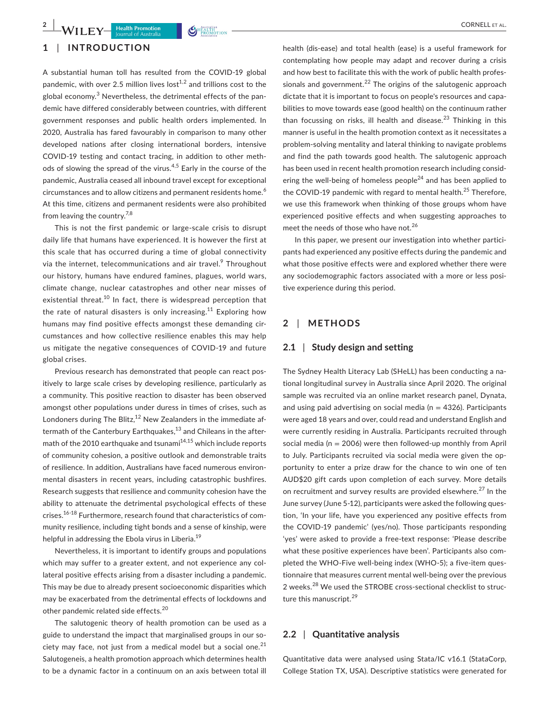# **1** | **INTRODUCTION**

A substantial human toll has resulted from the COVID-19 global pandemic, with over 2.5 million lives  $\text{lost}^{1,2}$  and trillions cost to the global economy.<sup>3</sup> Nevertheless, the detrimental effects of the pandemic have differed considerably between countries, with different government responses and public health orders implemented. In 2020, Australia has fared favourably in comparison to many other developed nations after closing international borders, intensive COVID-19 testing and contact tracing, in addition to other methods of slowing the spread of the virus.<sup>4,5</sup> Early in the course of the pandemic, Australia ceased all inbound travel except for exceptional circumstances and to allow citizens and permanent residents home.<sup>6</sup> At this time, citizens and permanent residents were also prohibited from leaving the country.<sup>7,8</sup>

This is not the first pandemic or large-scale crisis to disrupt daily life that humans have experienced. It is however the first at this scale that has occurred during a time of global connectivity via the internet, telecommunications and air travel.<sup>9</sup> Throughout our history, humans have endured famines, plagues, world wars, climate change, nuclear catastrophes and other near misses of existential threat.<sup>10</sup> In fact, there is widespread perception that the rate of natural disasters is only increasing.<sup>11</sup> Exploring how humans may find positive effects amongst these demanding circumstances and how collective resilience enables this may help us mitigate the negative consequences of COVID-19 and future global crises.

Previous research has demonstrated that people can react positively to large scale crises by developing resilience, particularly as a community. This positive reaction to disaster has been observed amongst other populations under duress in times of crises, such as Londoners during The Blitz, $12$  New Zealanders in the immediate aftermath of the Canterbury Earthquakes, $13$  and Chileans in the aftermath of the 2010 earthquake and tsunami<sup>14,15</sup> which include reports of community cohesion, a positive outlook and demonstrable traits of resilience. In addition, Australians have faced numerous environmental disasters in recent years, including catastrophic bushfires. Research suggests that resilience and community cohesion have the ability to attenuate the detrimental psychological effects of these crises.16-18 Furthermore, research found that characteristics of community resilience, including tight bonds and a sense of kinship, were helpful in addressing the Ebola virus in Liberia.<sup>19</sup>

Nevertheless, it is important to identify groups and populations which may suffer to a greater extent, and not experience any collateral positive effects arising from a disaster including a pandemic. This may be due to already present socioeconomic disparities which may be exacerbated from the detrimental effects of lockdowns and other pandemic related side effects.<sup>20</sup>

The salutogenic theory of health promotion can be used as a guide to understand the impact that marginalised groups in our society may face, not just from a medical model but a social one.<sup>21</sup> Salutogeneis, a health promotion approach which determines health to be a dynamic factor in a continuum on an axis between total ill

health (dis-ease) and total health (ease) is a useful framework for contemplating how people may adapt and recover during a crisis and how best to facilitate this with the work of public health professionals and government.<sup>22</sup> The origins of the salutogenic approach dictate that it is important to focus on people's resources and capabilities to move towards ease (good health) on the continuum rather than focussing on risks, ill health and disease.<sup>23</sup> Thinking in this manner is useful in the health promotion context as it necessitates a problem-solving mentality and lateral thinking to navigate problems and find the path towards good health. The salutogenic approach has been used in recent health promotion research including considering the well-being of homeless people<sup>24</sup> and has been applied to the COVID-19 pandemic with regard to mental health.<sup>25</sup> Therefore, we use this framework when thinking of those groups whom have experienced positive effects and when suggesting approaches to meet the needs of those who have not.<sup>26</sup>

In this paper, we present our investigation into whether participants had experienced any positive effects during the pandemic and what those positive effects were and explored whether there were any sociodemographic factors associated with a more or less positive experience during this period.

# **2** | **METHODS**

# **2.1** | **Study design and setting**

The Sydney Health Literacy Lab (SHeLL) has been conducting a national longitudinal survey in Australia since April 2020. The original sample was recruited via an online market research panel, Dynata, and using paid advertising on social media ( $n = 4326$ ). Participants were aged 18 years and over, could read and understand English and were currently residing in Australia. Participants recruited through social media ( $n = 2006$ ) were then followed-up monthly from April to July. Participants recruited via social media were given the opportunity to enter a prize draw for the chance to win one of ten AUD\$20 gift cards upon completion of each survey. More details on recruitment and survey results are provided elsewhere. $27$  In the June survey (June 5-12), participants were asked the following question, 'In your life, have you experienced any positive effects from the COVID-19 pandemic' (yes/no). Those participants responding 'yes' were asked to provide a free-text response: 'Please describe what these positive experiences have been'. Participants also completed the WHO-Five well-being index (WHO-5); a five-item questionnaire that measures current mental well-being over the previous 2 weeks.28 We used the STROBE cross-sectional checklist to structure this manuscript.<sup>29</sup>

## **2.2** | **Quantitative analysis**

Quantitative data were analysed using Stata/IC v16.1 (StataCorp, College Station TX, USA). Descriptive statistics were generated for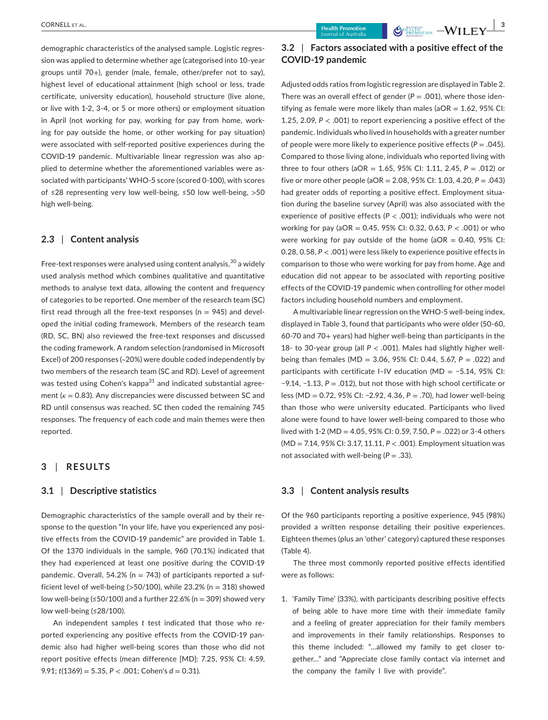demographic characteristics of the analysed sample. Logistic regression was applied to determine whether age (categorised into 10-year groups until 70+), gender (male, female, other/prefer not to say), highest level of educational attainment (high school or less, trade certificate, university education), household structure (live alone, or live with 1-2, 3-4, or 5 or more others) or employment situation in April (not working for pay, working for pay from home, working for pay outside the home, or other working for pay situation) were associated with self-reported positive experiences during the COVID-19 pandemic. Multivariable linear regression was also applied to determine whether the aforementioned variables were associated with participants' WHO-5 score (scored 0-100), with scores of ≤28 representing very low well-being, ≤50 low well-being, >50 high well-being.

## **2.3** | **Content analysis**

Free-text responses were analysed using content analysis,  $30^{\circ}$  a widely used analysis method which combines qualitative and quantitative methods to analyse text data, allowing the content and frequency of categories to be reported. One member of the research team (SC) first read through all the free-text responses ( $n = 945$ ) and developed the initial coding framework. Members of the research team (RD, SC, BN) also reviewed the free-text responses and discussed the coding framework. A random selection (randomised in Microsoft Excel) of 200 responses (~20%) were double coded independently by two members of the research team (SC and RD). Level of agreement was tested using Cohen's kappa<sup>31</sup> and indicated substantial agreement ( $κ = 0.83$ ). Any discrepancies were discussed between SC and RD until consensus was reached. SC then coded the remaining 745 responses. The frequency of each code and main themes were then reported.

# **3** | **RESULTS**

## **3.1** | **Descriptive statistics**

Demographic characteristics of the sample overall and by their response to the question "In your life, have you experienced any positive effects from the COVID-19 pandemic" are provided in Table 1. Of the 1370 individuals in the sample, 960 (70.1%) indicated that they had experienced at least one positive during the COVID-19 pandemic. Overall, 54.2% ( $n = 743$ ) of participants reported a sufficient level of well-being ( $>50/100$ ), while 23.2% (n = 318) showed low well-being (≤50/100) and a further 22.6% (n = 309) showed very low well-being (≤28/100).

An independent samples *t* test indicated that those who reported experiencing any positive effects from the COVID-19 pandemic also had higher well-being scores than those who did not report positive effects (mean difference [MD]: 7.25, 95% CI: 4.59, 9.91; *t*(1369) = 5.35, *P* < .001; Cohen's *d* = 0.31).

# **3.2** | **Factors associated with a positive effect of the COVID-19 pandemic**

Adjusted odds ratios from logistic regression are displayed in Table 2. There was an overall effect of gender  $(P = .001)$ , where those identifying as female were more likely than males ( $aOR = 1.62$ , 95% CI: 1.25, 2.09, *P* < .001) to report experiencing a positive effect of the pandemic. Individuals who lived in households with a greater number of people were more likely to experience positive effects  $(P = .045)$ . Compared to those living alone, individuals who reported living with three to four others (aOR = 1.65, 95% CI: 1.11, 2.45, *P* = .012) or five or more other people (aOR = 2.08, 95% CI: 1.03, 4.20, *P* = .043) had greater odds of reporting a positive effect. Employment situation during the baseline survey (April) was also associated with the experience of positive effects (*P* < .001); individuals who were not working for pay (aOR = 0.45, 95% CI: 0.32, 0.63, *P* < .001) or who were working for pay outside of the home ( $aOR = 0.40$ , 95% CI: 0.28, 0.58, *P* < .001) were less likely to experience positive effects in comparison to those who were working for pay from home. Age and education did not appear to be associated with reporting positive effects of the COVID-19 pandemic when controlling for other model factors including household numbers and employment.

A multivariable linear regression on the WHO-5 well-being index, displayed in Table 3, found that participants who were older (50-60, 60-70 and 70+ years) had higher well-being than participants in the 18- to 30-year group (all *P* < .001). Males had slightly higher wellbeing than females (MD = 3.06, 95% CI: 0.44, 5.67, *P* = .022) and participants with certificate I–IV education (MD = −5.14, 95% CI: −9.14, −1.13, *P* = .012), but not those with high school certificate or less (MD = 0.72, 95% CI: −2.92, 4.36, *P* = .70), had lower well-being than those who were university educated. Participants who lived alone were found to have lower well-being compared to those who lived with 1-2 (MD = 4.05, 95% CI: 0.59, 7.50, *P* = .022) or 3-4 others (MD = 7.14, 95% CI: 3.17, 11.11, *P* < .001). Employment situation was not associated with well-being (*P* = .33).

# **3.3** | **Content analysis results**

Of the 960 participants reporting a positive experience, 945 (98%) provided a written response detailing their positive experiences. Eighteen themes (plus an 'other' category) captured these responses (Table 4).

The three most commonly reported positive effects identified were as follows:

1. 'Family Time' (33%), with participants describing positive effects of being able to have more time with their immediate family and a feeling of greater appreciation for their family members and improvements in their family relationships. Responses to this theme included: "…allowed my family to get closer together…" and "Appreciate close family contact via internet and the company the family I live with provide".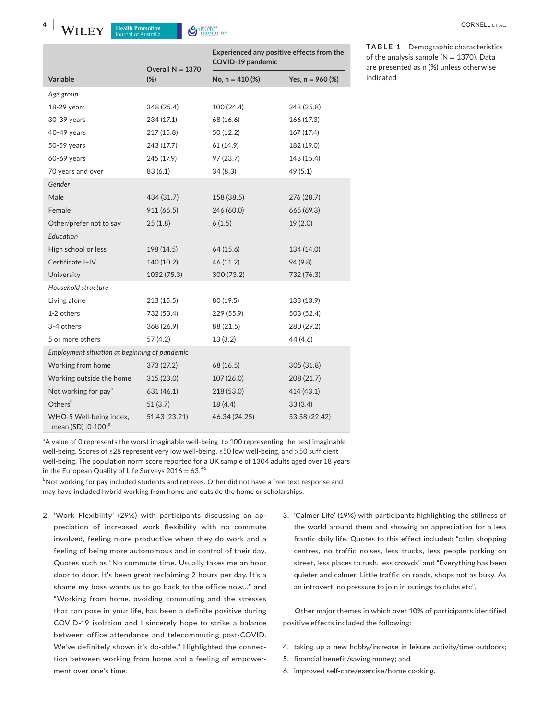

|                                               | Overall $N = 1370$ | Experienced any positive effects from the<br>COVID-19 pandemic |                    |
|-----------------------------------------------|--------------------|----------------------------------------------------------------|--------------------|
| <b>Variable</b>                               | $(\%)$             | No, $n = 410$ (%)                                              | Yes, $n = 960$ (%) |
| Age group                                     |                    |                                                                |                    |
| $18-29$ years                                 | 348 (25.4)         | 100 (24.4)                                                     | 248 (25.8)         |
| 30-39 years                                   | 234 (17.1)         | 68 (16.6)                                                      | 166(17.3)          |
| 40-49 years                                   | 217 (15.8)         | 50 (12.2)                                                      | 167(17.4)          |
| 50-59 years                                   | 243 (17.7)         | 61 (14.9)                                                      | 182 (19.0)         |
| 60-69 years                                   | 245 (17.9)         | 97 (23.7)                                                      | 148 (15.4)         |
| 70 years and over                             | 83 (6.1)           | 34(8.3)                                                        | 49 (5.1)           |
| Gender                                        |                    |                                                                |                    |
| Male                                          | 434 (31.7)         | 158 (38.5)                                                     | 276 (28.7)         |
| Female                                        | 911 (66.5)         | 246 (60.0)                                                     | 665 (69.3)         |
| Other/prefer not to say                       | 25(1.8)            | 6(1.5)                                                         | 19(2.0)            |
| Education                                     |                    |                                                                |                    |
| High school or less                           | 198 (14.5)         | 64 (15.6)                                                      | 134 (14.0)         |
| Certificate I-IV                              | 140 (10.2)         | 46 (11.2)                                                      | 94 (9.8)           |
| University                                    | 1032 (75.3)        | 300(73.2)                                                      | 732 (76.3)         |
| Household structure                           |                    |                                                                |                    |
| Living alone                                  | 213 (15.5)         | 80 (19.5)                                                      | 133 (13.9)         |
| 1-2 others                                    | 732 (53.4)         | 229 (55.9)                                                     | 503 (52.4)         |
| 3-4 others                                    | 368 (26.9)         | 88 (21.5)                                                      | 280 (29.2)         |
| 5 or more others                              | 57(4.2)            | 13 (3.2)                                                       | 44 (4.6)           |
| Employment situation at beginning of pandemic |                    |                                                                |                    |
| Working from home                             | 373 (27.2)         | 68 (16.5)                                                      | 305 (31.8)         |
| Working outside the home                      | 315 (23.0)         | 107(26.0)                                                      | 208 (21.7)         |
| Not working for pay <sup>b</sup>              | 631 (46.1)         | 218 (53.0)                                                     | 414 (43.1)         |
| Othersb                                       | 51(3.7)            | 18(4.4)                                                        | 33(3.4)            |
| WHO-5 Well-being index,<br>mean (SD) [0-100]ª | 51.43 (23.21)      | 46.34 (24.25)                                                  | 53.58 (22.42)      |

**TABLE 1** Demographic characteristics of the analysis sample ( $N = 1370$ ). Data are presented as n (%) unless otherwise indicated

<sup>a</sup>A value of 0 represents the worst imaginable well-being, to 100 representing the best imaginable well-being. Scores of ≤28 represent very low well-being, ≤50 low well-being, and >50 sufficient well-being. The population norm score reported for a UK sample of 1304 adults aged over 18 years in the European Quality of Life Surveys  $2016 = 63.46$ 

<sup>b</sup>Not working for pay included students and retirees. Other did not have a free text response and may have included hybrid working from home and outside the home or scholarships.

- 2. 'Work Flexibility' (29%) with participants discussing an appreciation of increased work flexibility with no commute involved, feeling more productive when they do work and a feeling of being more autonomous and in control of their day. Quotes such as "No commute time. Usually takes me an hour door to door. It's been great reclaiming 2 hours per day. It's a shame my boss wants us to go back to the office now…" and "Working from home, avoiding commuting and the stresses that can pose in your life, has been a definite positive during COVID-19 isolation and I sincerely hope to strike a balance between office attendance and telecommuting post-COVID. We've definitely shown it's do-able." Highlighted the connection between working from home and a feeling of empowerment over one's time.
- 3. 'Calmer Life' (19%) with participants highlighting the stillness of the world around them and showing an appreciation for a less frantic daily life. Quotes to this effect included: "calm shopping centres, no traffic noises, less trucks, less people parking on street, less places to rush, less crowds" and "Everything has been quieter and calmer. Little traffic on roads, shops not as busy. As an introvert, no pressure to join in outings to clubs etc".

Other major themes in which over 10% of participants identified positive effects included the following:

- 4. taking up a new hobby/increase in leisure activity/time outdoors;
- 5. financial benefit/saving money; and
- 6. improved self-care/exercise/home cooking.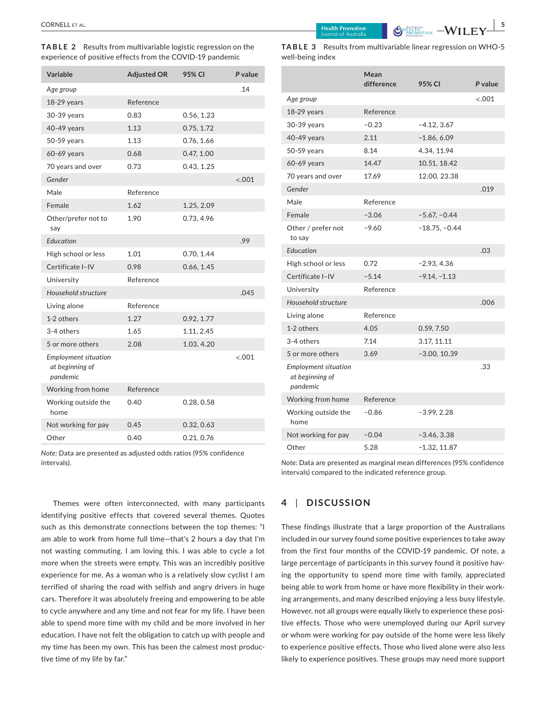**TABLE 2** Results from multivariable logistic regression on the experience of positive effects from the COVID-19 pandemic

| Variable                                                   | <b>Adjusted OR</b> | 95% CI     | P value |
|------------------------------------------------------------|--------------------|------------|---------|
| Age group                                                  |                    |            | .14     |
| 18-29 years                                                | Reference          |            |         |
| 30-39 years                                                | 0.83               | 0.56, 1.23 |         |
| 40-49 years                                                | 1.13               | 0.75, 1.72 |         |
| 50-59 years                                                | 1.13               | 0.76, 1.66 |         |
| 60-69 years                                                | 0.68               | 0.47, 1.00 |         |
| 70 years and over                                          | 0.73               | 0.43, 1.25 |         |
| Gender                                                     |                    |            | < .001  |
| Male                                                       | Reference          |            |         |
| Female                                                     | 1.62               | 1.25, 2.09 |         |
| Other/prefer not to<br>say                                 | 1.90               | 0.73, 4.96 |         |
| Education                                                  |                    |            | .99     |
| High school or less                                        | 1.01               | 0.70, 1.44 |         |
| Certificate I-IV                                           | 0.98               | 0.66, 1.45 |         |
| University                                                 | Reference          |            |         |
| Household structure                                        |                    |            | .045    |
| Living alone                                               | Reference          |            |         |
| 1-2 others                                                 | 1.27               | 0.92, 1.77 |         |
| 3-4 others                                                 | 1.65               | 1.11, 2.45 |         |
| 5 or more others                                           | 2.08               | 1.03, 4.20 |         |
| <b>Employment situation</b><br>at beginning of<br>pandemic |                    |            | < 0.001 |
| Working from home                                          | Reference          |            |         |
| Working outside the<br>home                                | 0.40               | 0.28, 0.58 |         |
| Not working for pay                                        | 0.45               | 0.32, 0.63 |         |
| Other                                                      | 0.40               | 0.21, 0.76 |         |

*Note:* Data are presented as adjusted odds ratios (95% confidence intervals).

Themes were often interconnected, with many participants identifying positive effects that covered several themes. Quotes such as this demonstrate connections between the top themes: "I am able to work from home full time—that's 2 hours a day that I'm not wasting commuting. I am loving this. I was able to cycle a lot more when the streets were empty. This was an incredibly positive experience for me. As a woman who is a relatively slow cyclist I am terrified of sharing the road with selfish and angry drivers in huge cars. Therefore it was absolutely freeing and empowering to be able to cycle anywhere and any time and not fear for my life. I have been able to spend more time with my child and be more involved in her education. I have not felt the obligation to catch up with people and my time has been my own. This has been the calmest most productive time of my life by far."

|                  | <b>TABLE 3</b> Results from multivariable linear regression on WHO-5 |
|------------------|----------------------------------------------------------------------|
| well-being index |                                                                      |

|                                                            | Mean<br>difference | 95% CI          | P value |
|------------------------------------------------------------|--------------------|-----------------|---------|
| Age group                                                  |                    |                 | $-.001$ |
| $18-29$ years                                              | Reference          |                 |         |
| 30-39 years                                                | $-0.23$            | $-4.12, 3.67$   |         |
| 40-49 years                                                | 2.11               | $-1.86, 6.09$   |         |
| 50-59 years                                                | 8.14               | 4.34, 11.94     |         |
| 60-69 years                                                | 14.47              | 10.51, 18.42    |         |
| 70 years and over                                          | 17.69              | 12.00, 23.38    |         |
| Gender                                                     |                    |                 | .019    |
| Male                                                       | Reference          |                 |         |
| Female                                                     | $-3.06$            | $-5.67, -0.44$  |         |
| Other / prefer not<br>to say                               | $-9.60$            | $-18.75, -0.44$ |         |
| Education                                                  |                    |                 | .03     |
| High school or less                                        | 0.72               | $-2.93, 4.36$   |         |
| Certificate I-IV                                           | $-5.14$            | $-9.14, -1.13$  |         |
| University                                                 | Reference          |                 |         |
| Household structure                                        |                    |                 | .006    |
| Living alone                                               | Reference          |                 |         |
| 1-2 others                                                 | 4.05               | 0.59, 7.50      |         |
| 3-4 others                                                 | 7.14               | 3.17, 11.11     |         |
| 5 or more others                                           | 3.69               | $-3.00, 10.39$  |         |
| <b>Employment situation</b><br>at beginning of<br>pandemic |                    |                 | .33     |
| Working from home                                          | Reference          |                 |         |
| Working outside the<br>home                                | $-0.86$            | $-3.99, 2.28$   |         |
| Not working for pay                                        | $-0.04$            | $-3.46, 3.38$   |         |
| Other                                                      | 5.28               | $-1.32, 11.87$  |         |

*Note:* Data are presented as marginal mean differences (95% confidence intervals) compared to the indicated reference group.

# **4** | **DISCUSSION**

These findings illustrate that a large proportion of the Australians included in our survey found some positive experiences to take away from the first four months of the COVID-19 pandemic. Of note, a large percentage of participants in this survey found it positive having the opportunity to spend more time with family, appreciated being able to work from home or have more flexibility in their working arrangements, and many described enjoying a less busy lifestyle. However, not all groups were equally likely to experience these positive effects. Those who were unemployed during our April survey or whom were working for pay outside of the home were less likely to experience positive effects. Those who lived alone were also less likely to experience positives. These groups may need more support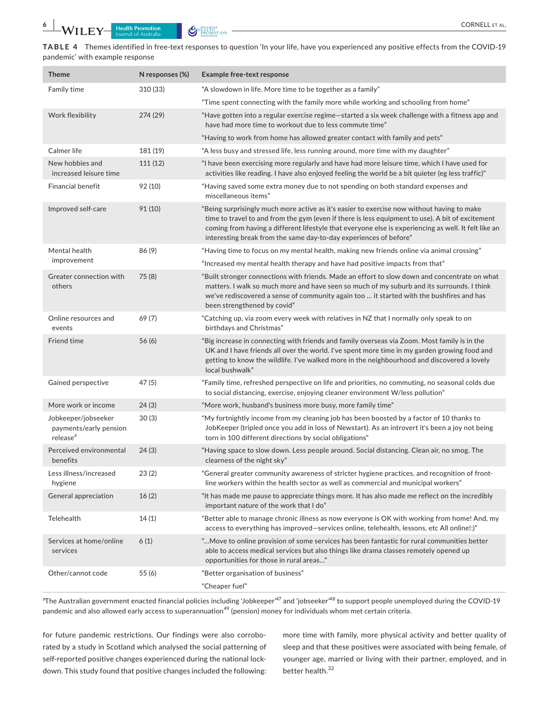**TABLE 4** Themes identified in free-text responses to question 'In your life, have you experienced any positive effects from the COVID-19 pandemic' with example response

| <b>Theme</b>                                                          | N responses (%) | <b>Example free-text response</b>                                                                                                                                                                                                                                                                                                                                           |
|-----------------------------------------------------------------------|-----------------|-----------------------------------------------------------------------------------------------------------------------------------------------------------------------------------------------------------------------------------------------------------------------------------------------------------------------------------------------------------------------------|
| Family time                                                           | 310 (33)        | "A slowdown in life. More time to be together as a family"                                                                                                                                                                                                                                                                                                                  |
|                                                                       |                 | "Time spent connecting with the family more while working and schooling from home"                                                                                                                                                                                                                                                                                          |
| Work flexibility                                                      | 274(29)         | "Have gotten into a regular exercise regime—started a six week challenge with a fitness app and<br>have had more time to workout due to less commute time"                                                                                                                                                                                                                  |
|                                                                       |                 | "Having to work from home has allowed greater contact with family and pets"                                                                                                                                                                                                                                                                                                 |
| Calmer life                                                           | 181 (19)        | "A less busy and stressed life, less running around, more time with my daughter"                                                                                                                                                                                                                                                                                            |
| New hobbies and<br>increased leisure time                             | 111(12)         | "I have been exercising more regularly and have had more leisure time, which I have used for<br>activities like reading. I have also enjoyed feeling the world be a bit quieter (eg less traffic)"                                                                                                                                                                          |
| <b>Financial benefit</b>                                              | 92 (10)         | "Having saved some extra money due to not spending on both standard expenses and<br>miscellaneous items"                                                                                                                                                                                                                                                                    |
| Improved self-care                                                    | 91 (10)         | "Being surprisingly much more active as it's easier to exercise now without having to make<br>time to travel to and from the gym (even if there is less equipment to use). A bit of excitement<br>coming from having a different lifestyle that everyone else is experiencing as well. It felt like an<br>interesting break from the same day-to-day experiences of before" |
| Mental health                                                         | 86(9)           | "Having time to focus on my mental health, making new friends online via animal crossing"                                                                                                                                                                                                                                                                                   |
| improvement                                                           |                 | "Increased my mental health therapy and have had positive impacts from that"                                                                                                                                                                                                                                                                                                |
| Greater connection with<br>others                                     | 75(8)           | "Built stronger connections with friends. Made an effort to slow down and concentrate on what<br>matters. I walk so much more and have seen so much of my suburb and its surrounds. I think<br>we've rediscovered a sense of community again too  it started with the bushfires and has<br>been strengthened by covid"                                                      |
| Online resources and<br>events                                        | 69 (7)          | "Catching up, via zoom every week with relatives in NZ that I normally only speak to on<br>birthdays and Christmas"                                                                                                                                                                                                                                                         |
| Friend time                                                           | 56(6)           | "Big increase in connecting with friends and family overseas via Zoom. Most family is in the<br>UK and I have friends all over the world. I've spent more time in my garden growing food and<br>getting to know the wildlife. I've walked more in the neighbourhood and discovered a lovely<br>local bushwalk"                                                              |
| Gained perspective                                                    | 47(5)           | "Family time, refreshed perspective on life and priorities, no commuting, no seasonal colds due<br>to social distancing, exercise, enjoying cleaner environment W/less pollution"                                                                                                                                                                                           |
| More work or income                                                   | 24(3)           | "More work, husband's business more busy, more family time"                                                                                                                                                                                                                                                                                                                 |
| Jobkeeper/jobseeker<br>payments/early pension<br>release <sup>a</sup> | 30(3)           | "My fortnightly income from my cleaning job has been boosted by a factor of 10 thanks to<br>JobKeeper (tripled once you add in loss of Newstart). As an introvert it's been a joy not being<br>torn in 100 different directions by social obligations"                                                                                                                      |
| Perceived environmental<br>benefits                                   | 24(3)           | "Having space to slow down. Less people around. Social distancing. Clean air, no smog. The<br>clearness of the night sky"                                                                                                                                                                                                                                                   |
| Less illness/increased<br>hygiene                                     | 23(2)           | "General greater community awareness of stricter hygiene practices, and recognition of front-<br>line workers within the health sector as well as commercial and municipal workers"                                                                                                                                                                                         |
| General appreciation                                                  | 16(2)           | "It has made me pause to appreciate things more. It has also made me reflect on the incredibly<br>important nature of the work that I do"                                                                                                                                                                                                                                   |
| Telehealth                                                            | 14(1)           | "Better able to manage chronic illness as now everyone is OK with working from home! And, my<br>access to everything has improved—services online, telehealth, lessons, etc All online!:)"                                                                                                                                                                                  |
| Services at home/online<br>services                                   | 6(1)            | Move to online provision of some services has been fantastic for rural communities better<br>able to access medical services but also things like drama classes remotely opened up<br>opportunities for those in rural areas"                                                                                                                                               |
| Other/cannot code                                                     | 55(6)           | "Better organisation of business"<br>"Cheaper fuel"                                                                                                                                                                                                                                                                                                                         |
|                                                                       |                 |                                                                                                                                                                                                                                                                                                                                                                             |

<sup>a</sup>The Australian government enacted financial policies including 'Jobkeeper'<sup>47</sup> and 'jobseeker'<sup>48</sup> to support people unemployed during the COVID-19 pandemic and also allowed early access to superannuation<sup>49</sup> (pension) money for individuals whom met certain criteria.

for future pandemic restrictions. Our findings were also corroborated by a study in Scotland which analysed the social patterning of self-reported positive changes experienced during the national lockdown. This study found that positive changes included the following:

more time with family, more physical activity and better quality of sleep and that these positives were associated with being female, of younger age, married or living with their partner, employed, and in better health.<sup>32</sup>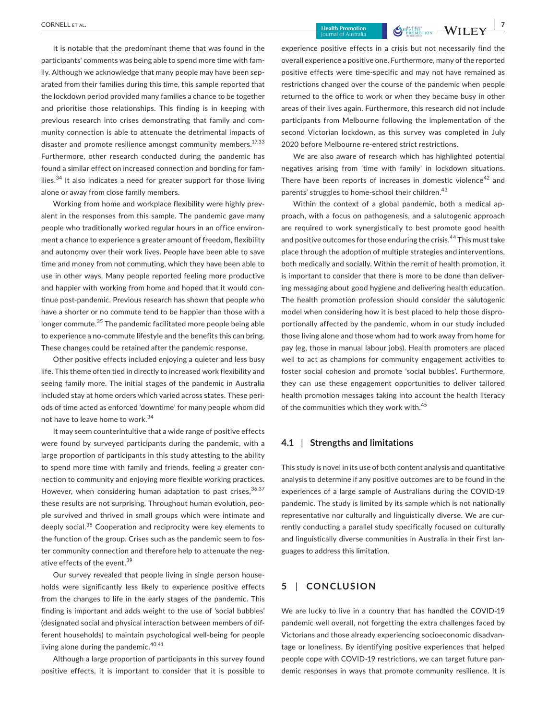It is notable that the predominant theme that was found in the participants' comments was being able to spend more time with family. Although we acknowledge that many people may have been separated from their families during this time, this sample reported that the lockdown period provided many families a chance to be together and prioritise those relationships. This finding is in keeping with previous research into crises demonstrating that family and community connection is able to attenuate the detrimental impacts of disaster and promote resilience amongst community members.<sup>17,33</sup> Furthermore, other research conducted during the pandemic has found a similar effect on increased connection and bonding for families. $34$  It also indicates a need for greater support for those living alone or away from close family members.

Working from home and workplace flexibility were highly prevalent in the responses from this sample. The pandemic gave many people who traditionally worked regular hours in an office environment a chance to experience a greater amount of freedom, flexibility and autonomy over their work lives. People have been able to save time and money from not commuting, which they have been able to use in other ways. Many people reported feeling more productive and happier with working from home and hoped that it would continue post-pandemic. Previous research has shown that people who have a shorter or no commute tend to be happier than those with a longer commute.<sup>35</sup> The pandemic facilitated more people being able to experience a no-commute lifestyle and the benefits this can bring. These changes could be retained after the pandemic response.

Other positive effects included enjoying a quieter and less busy life. This theme often tied in directly to increased work flexibility and seeing family more. The initial stages of the pandemic in Australia included stay at home orders which varied across states. These periods of time acted as enforced 'downtime' for many people whom did not have to leave home to work.<sup>34</sup>

It may seem counterintuitive that a wide range of positive effects were found by surveyed participants during the pandemic, with a large proportion of participants in this study attesting to the ability to spend more time with family and friends, feeling a greater connection to community and enjoying more flexible working practices. However, when considering human adaptation to past crises,  $36,37$ these results are not surprising. Throughout human evolution, people survived and thrived in small groups which were intimate and deeply social.<sup>38</sup> Cooperation and reciprocity were key elements to the function of the group. Crises such as the pandemic seem to foster community connection and therefore help to attenuate the negative effects of the event.<sup>39</sup>

Our survey revealed that people living in single person households were significantly less likely to experience positive effects from the changes to life in the early stages of the pandemic. This finding is important and adds weight to the use of 'social bubbles' (designated social and physical interaction between members of different households) to maintain psychological well-being for people living alone during the pandemic. $40,41$ 

Although a large proportion of participants in this survey found positive effects, it is important to consider that it is possible to experience positive effects in a crisis but not necessarily find the overall experience a positive one. Furthermore, many of the reported positive effects were time-specific and may not have remained as restrictions changed over the course of the pandemic when people returned to the office to work or when they became busy in other areas of their lives again. Furthermore, this research did not include participants from Melbourne following the implementation of the second Victorian lockdown, as this survey was completed in July 2020 before Melbourne re-entered strict restrictions.

We are also aware of research which has highlighted potential negatives arising from 'time with family' in lockdown situations. There have been reports of increases in domestic violence<sup>42</sup> and parents' struggles to home-school their children.<sup>43</sup>

Within the context of a global pandemic, both a medical approach, with a focus on pathogenesis, and a salutogenic approach are required to work synergistically to best promote good health and positive outcomes for those enduring the crisis.<sup>44</sup> This must take place through the adoption of multiple strategies and interventions, both medically and socially. Within the remit of health promotion, it is important to consider that there is more to be done than delivering messaging about good hygiene and delivering health education. The health promotion profession should consider the salutogenic model when considering how it is best placed to help those disproportionally affected by the pandemic, whom in our study included those living alone and those whom had to work away from home for pay (eg, those in manual labour jobs). Health promoters are placed well to act as champions for community engagement activities to foster social cohesion and promote 'social bubbles'. Furthermore, they can use these engagement opportunities to deliver tailored health promotion messages taking into account the health literacy of the communities which they work with.<sup>45</sup>

# **4.1** | **Strengths and limitations**

This study is novel in its use of both content analysis and quantitative analysis to determine if any positive outcomes are to be found in the experiences of a large sample of Australians during the COVID-19 pandemic. The study is limited by its sample which is not nationally representative nor culturally and linguistically diverse. We are currently conducting a parallel study specifically focused on culturally and linguistically diverse communities in Australia in their first languages to address this limitation.

# **5** | **CONCLUSION**

We are lucky to live in a country that has handled the COVID-19 pandemic well overall, not forgetting the extra challenges faced by Victorians and those already experiencing socioeconomic disadvantage or loneliness. By identifying positive experiences that helped people cope with COVID-19 restrictions, we can target future pandemic responses in ways that promote community resilience. It is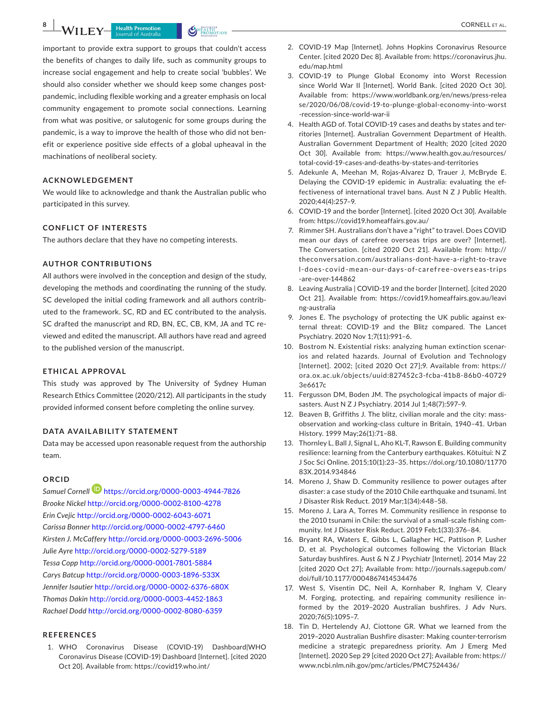important to provide extra support to groups that couldn't access the benefits of changes to daily life, such as community groups to increase social engagement and help to create social 'bubbles'. We should also consider whether we should keep some changes postpandemic, including flexible working and a greater emphasis on local community engagement to promote social connections. Learning from what was positive, or salutogenic for some groups during the pandemic, is a way to improve the health of those who did not benefit or experience positive side effects of a global upheaval in the machinations of neoliberal society.

# **ACKNOWLEDGEMENT**

We would like to acknowledge and thank the Australian public who participated in this survey.

### **CONFLICT OF INTERESTS**

The authors declare that they have no competing interests.

## **AUTHOR CONTRIBUTIONS**

All authors were involved in the conception and design of the study, developing the methods and coordinating the running of the study. SC developed the initial coding framework and all authors contributed to the framework. SC, RD and EC contributed to the analysis. SC drafted the manuscript and RD, BN, EC, CB, KM, JA and TC reviewed and edited the manuscript. All authors have read and agreed to the published version of the manuscript.

#### **ETHICAL APPROVAL**

This study was approved by The University of Sydney Human Research Ethics Committee (2020/212). All participants in the study provided informed consent before completing the online survey.

#### **DATA AVAILABILITY STATEMENT**

Data may be accessed upon reasonable request from the authorship team.

## **ORCID**

*Samuel Cornell* <https://orcid.org/0000-0003-4944-7826> *Brooke Nickel* <http://orcid.org/0000-0002-8100-4278> *Erin Cvejic* <http://orcid.org/0000-0002-6043-6071> *Carissa Bonner* <http://orcid.org/0000-0002-4797-6460> *Kirsten J. McCaffery* <http://orcid.org/0000-0003-2696-5006> *Julie Ayre* <http://orcid.org/0000-0002-5279-5189> *Tessa Copp* <http://orcid.org/0000-0001-7801-5884> *Carys Batcup* <http://orcid.org/0000-0003-1896-533X> *Jennifer Isautier* <http://orcid.org/0000-0002-6376-680X> *Thomas Dakin* <http://orcid.org/0000-0003-4452-1863> *Rachael Dodd* <http://orcid.org/0000-0002-8080-6359>

### **REFERENCES**

1. WHO Coronavirus Disease (COVID-19) Dashboard|WHO Coronavirus Disease (COVID-19) Dashboard [Internet]. [cited 2020 Oct 20]. Available from:<https://covid19.who.int/>

- 2. COVID-19 Map [Internet]. Johns Hopkins Coronavirus Resource Center. [cited 2020 Dec 8]. Available from: [https://coronavirus.jhu.](https://coronavirus.jhu.edu/map.html) [edu/map.html](https://coronavirus.jhu.edu/map.html)
- 3. COVID-19 to Plunge Global Economy into Worst Recession since World War II [Internet]. World Bank. [cited 2020 Oct 30]. Available from: [https://www.worldbank.org/en/news/press-relea](https://www.worldbank.org/en/news/press-release/2020/06/08/covid-19-to-plunge-global-economy-into-worst-recession-since-world-war-ii) [se/2020/06/08/covid-19-to-plunge-global-economy-into-worst](https://www.worldbank.org/en/news/press-release/2020/06/08/covid-19-to-plunge-global-economy-into-worst-recession-since-world-war-ii) [-recession-since-world-war-ii](https://www.worldbank.org/en/news/press-release/2020/06/08/covid-19-to-plunge-global-economy-into-worst-recession-since-world-war-ii)
- 4. Health AGD of. Total COVID-19 cases and deaths by states and territories [Internet]. Australian Government Department of Health. Australian Government Department of Health; 2020 [cited 2020 Oct 30]. Available from: [https://www.health.gov.au/resources/](https://www.health.gov.au/resources/total-covid-19-cases-and-deaths-by-states-and-territories) [total-covid-19-cases-and-deaths-by-states-and-territories](https://www.health.gov.au/resources/total-covid-19-cases-and-deaths-by-states-and-territories)
- 5. Adekunle A, Meehan M, Rojas-Alvarez D, Trauer J, McBryde E. Delaying the COVID-19 epidemic in Australia: evaluating the effectiveness of international travel bans. Aust N Z J Public Health. 2020;44(4):257–9.
- 6. COVID-19 and the border [Internet]. [cited 2020 Oct 30]. Available from:<https://covid19.homeaffairs.gov.au/>
- 7. Rimmer SH. Australians don't have a "right" to travel. Does COVID mean our days of carefree overseas trips are over? [Internet]. The Conversation. [cited 2020 Oct 21]. Available from: [http://](http://theconversation.com/australians-dont-have-a-right-to-travel-does-covid-mean-our-days-of-carefree-overseas-trips-are-over-144862) [theconversation.com/australians-dont-have-a-right-to-trave](http://theconversation.com/australians-dont-have-a-right-to-travel-does-covid-mean-our-days-of-carefree-overseas-trips-are-over-144862) l-does-covid [-mean-our-days-of-caref](http://theconversation.com/australians-dont-have-a-right-to-travel-does-covid-mean-our-days-of-carefree-overseas-trips-are-over-144862) ree-overs eas-trips [-are-over-144862](http://theconversation.com/australians-dont-have-a-right-to-travel-does-covid-mean-our-days-of-carefree-overseas-trips-are-over-144862)
- 8. Leaving Australia | COVID-19 and the border [Internet]. [cited 2020 Oct 21]. Available from: [https://covid19.homeaffairs.gov.au/leavi](https://covid19.homeaffairs.gov.au/leaving-australia) [ng-australia](https://covid19.homeaffairs.gov.au/leaving-australia)
- 9. Jones E. The psychology of protecting the UK public against external threat: COVID-19 and the Blitz compared. The Lancet Psychiatry. 2020 Nov 1;7(11):991–6.
- 10. Bostrom N. Existential risks: analyzing human extinction scenarios and related hazards. Journal of Evolution and Technology [Internet]. 2002; [cited 2020 Oct 27];9. Available from: [https://](https://ora.ox.ac.uk/objects/uuid:827452c3-fcba-41b8-86b0-407293e6617c) [ora.ox.ac.uk/objects/uuid:827452c3-fcba-41b8-86b0-40729](https://ora.ox.ac.uk/objects/uuid:827452c3-fcba-41b8-86b0-407293e6617c) [3e6617c](https://ora.ox.ac.uk/objects/uuid:827452c3-fcba-41b8-86b0-407293e6617c)
- 11. Fergusson DM, Boden JM. The psychological impacts of major disasters. Aust N Z J Psychiatry. 2014 Jul 1;48(7):597–9.
- 12. Beaven B, Griffiths J. The blitz, civilian morale and the city: massobservation and working-class culture in Britain, 1940–41. Urban History. 1999 May;26(1):71–88.
- 13. Thornley L, Ball J, Signal L, Aho KL-T, Rawson E. Building community resilience: learning from the Canterbury earthquakes. Kōtuitui: N Z J Soc Sci Online. 2015;10(1):23–35. [https://doi.org/10.1080/11770](https://doi.org/10.1080/1177083X.2014.934846) [83X.2014.934846](https://doi.org/10.1080/1177083X.2014.934846)
- 14. Moreno J, Shaw D. Community resilience to power outages after disaster: a case study of the 2010 Chile earthquake and tsunami. Int J Disaster Risk Reduct. 2019 Mar;1(34):448–58.
- 15. Moreno J, Lara A, Torres M. Community resilience in response to the 2010 tsunami in Chile: the survival of a small-scale fishing community. Int J Disaster Risk Reduct. 2019 Feb;1(33):376–84.
- 16. Bryant RA, Waters E, Gibbs L, Gallagher HC, Pattison P, Lusher D, et al. Psychological outcomes following the Victorian Black Saturday bushfires. Aust & N Z J Psychiatr [Internet]. 2014 May 22 [cited 2020 Oct 27]; Available from: [http://journals.sagepub.com/](http://journals.sagepub.com/doi/full/10.1177/0004867414534476) [doi/full/10.1177/0004867414534476](http://journals.sagepub.com/doi/full/10.1177/0004867414534476)
- 17. West S, Visentin DC, Neil A, Kornhaber R, Ingham V, Cleary M. Forging, protecting, and repairing community resilience informed by the 2019–2020 Australian bushfires. J Adv Nurs. 2020;76(5):1095–7.
- 18. Tin D, Hertelendy AJ, Ciottone GR. What we learned from the 2019–2020 Australian Bushfire disaster: Making counter-terrorism medicine a strategic preparedness priority. Am J Emerg Med [Internet]. 2020 Sep 29 [cited 2020 Oct 27]; Available from: [https://](https://www.ncbi.nlm.nih.gov/pmc/articles/PMC7524436/) [www.ncbi.nlm.nih.gov/pmc/articles/PMC7524436/](https://www.ncbi.nlm.nih.gov/pmc/articles/PMC7524436/)